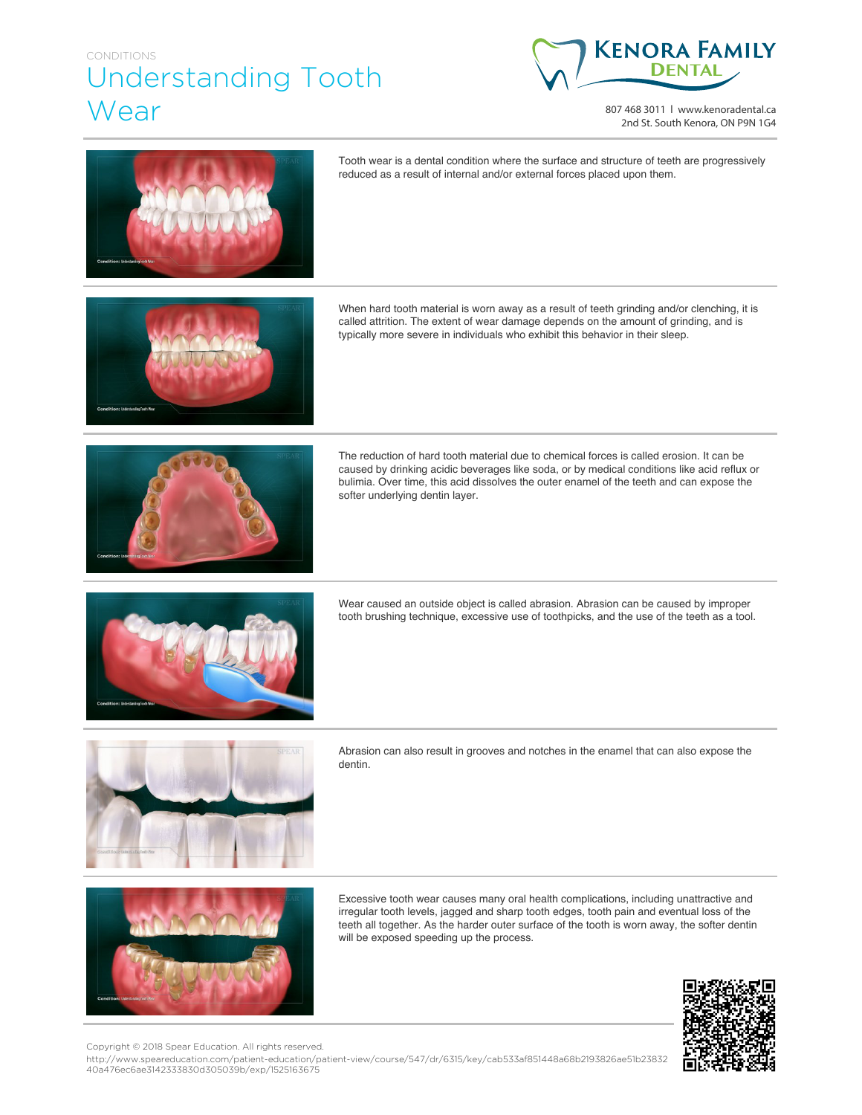## CONDITIONS Understanding Tooth Wear



807 468 3011 | www.kenoradental.ca 2nd St. South Kenora, ON P9N 1G4



Tooth wear is a dental condition where the surface and structure of teeth are progressively reduced as a result of internal and/or external forces placed upon them.

When hard tooth material is worn away as a result of teeth grinding and/or clenching, it is called attrition. The extent of wear damage depends on the amount of grinding, and is typically more severe in individuals who exhibit this behavior in their sleep.



The reduction of hard tooth material due to chemical forces is called erosion. It can be caused by drinking acidic beverages like soda, or by medical conditions like acid reflux or bulimia. Over time, this acid dissolves the outer enamel of the teeth and can expose the softer underlying dentin layer.



Wear caused an outside object is called abrasion. Abrasion can be caused by improper tooth brushing technique, excessive use of toothpicks, and the use of the teeth as a tool.



Abrasion can also result in grooves and notches in the enamel that can also expose the dentin.



Excessive tooth wear causes many oral health complications, including unattractive and irregular tooth levels, jagged and sharp tooth edges, tooth pain and eventual loss of the teeth all together. As the harder outer surface of the tooth is worn away, the softer dentin will be exposed speeding up the process.



Copyright © 2018 Spear Education. All rights reserved.

http://www.speareducation.com/patient-education/patient-view/course/547/dr/6315/key/cab533af851448a68b2193826ae51b23832 40a476ec6ae3142333830d305039b/exp/1525163675